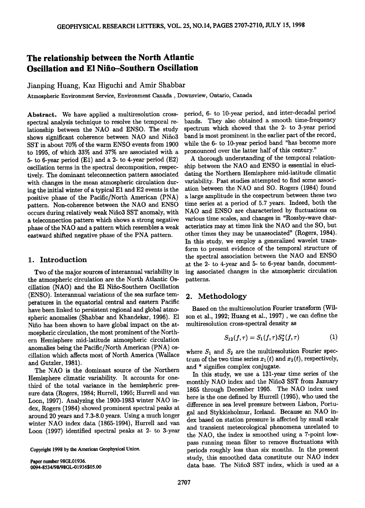# **The relationship between the North Atlantic Oscillation and El Nifio-Southern Oscillation**

**Jianping Huang, Kaz Higuchi and Amir Shabbar** 

Atmospheric Environment Service, Environment Canada, Downsview, Ontario, Canada

**Abstract. We have applied a multiresolution crossspectral analysis technique to resolve the temporal relationship between the NAO and ENSO. The study shows significant coherence between NAO and Nifio3 SST in about 70% of the warm ENSO events from 1900 to 1995, of which 33% and 37% are associated with a 5- to 6-year period (El) and a 2- to 4-year period (E2) oscillation terms in the spectral decomposition, respectively. The dominant teleconnection pattern associated**  with changes in the mean atmospheric circulation dur**ing the initial winter of a typical E1 and E2 events is the positive phase of the Pacific/North American (PNA) pattern. Non-coherence between the NAO and ENSO occurs during relatively weak Nifio3 SST anomaly, with a teleconnection pattern which shows a strong negative phase of the NAO and a pattern which resembles a weak eastward shifted negative phase of the PNA pattern.** 

## **1. Introduction**

**Two of the major sources of interannual variability in**  the atmospheric circulation are the North Atlantic Os**cillation (NAO) and the E1 Nifio-Southern Oscillation (ENSO). Interannual variations of the sea surface temperatures in the equatorial central and eastern Pacific have been linked to persistent regional and global atmospheric anomalies (Shabbar and Khandekar, 1996). E1 Nifio has been shown to have global impact on the atmospheric circulation, the most prominent of the Northern Hemisphere mid-latitude atmospheric circulation anomalies being the Pacific/North American (PNA) oscillation which affects most of North America (Wallace and Gutzler, 1981).** 

**The NAO is the dominant source of the Northern Hemisphere climatic variability. It accounts for onethird of the total variance in the hemispheric pressure data (Rogers, 1984; Hurrell, 1995; Hurrell and van Loon, 1997). Analyzing the 1900-1983 winter NAO index, Rogers (1984) showed prominent spectral peaks at around 20 years and 7.3-8.0 years. Using a much longer winter NAO index data (1865-1994), Hurrell and van Loon (1997) identified spectral peaks at 2- to 3-year** 

**Copyright 1998 by the American Geophysical Union.** 

**Paper number 98GL01936. 0094-8534/98/98GL-01936505.00** 

**period, 6- to 10-year period, and inter-decadal period bands. They also obtained a smooth time-frequency spectrum which showed that the 2- to 3-year period band is most prominent in the earlier part of the record, while the 6- to 10-year period band "has become more pronounced over the latter half of this century."** 

**A thorough understanding of the temporal relationship between the NAO and ENSO is essential in elucidating the Northern Hemisphere mid-latitude climatic variability. Past studies attempted to find some association between the NAO and SO. Rogers (1984) found a large amplitude in the cospectrum between these two time series at a period of 5.7 years. Indeed, both the NAO and ENSO are characterized by fluctuations on various time scales, and changes in "Rossby-wave characteristics may at times link the NAO and the SO, but other times they may be unassociated" (Rogers, 1984). In this study, we employ a generalized wavelet transform to present evidence of the temporal structure of the spectral association between the NAO and ENSO at the 2- to 4-year and 5- to 6-year bands, documenting associated changes in the atmospheric circulation patterns.** 

## **2. Methodology**

**Based on the multiresolution Fourier transform (Wilson et al., 1992; Huang et al., 1997) , we can define the multiresolution cross-spectral density as** 

$$
S_{12}(f,\tau) = S_1(f,\tau)S_2^*(f,\tau) \tag{1}
$$

where  $S_1$  and  $S_2$  are the multiresolution Fourier spectrum of the two time series  $x_1(t)$  and  $x_2(t)$ , respectively, **and \* signifies complex conjugate.** 

**In this study, we use a 131-year time series of the monthly NAO index and the Nifio3 SST from January 1865 through December 1995. The NAO index used here is the one defined by Hurrell (1995), who used the difference in sea level pressure between Lisbon, Portugal and Stykkisholmur, Iceland. Because an NAO index based on station pressure is affected by small scale and transient meteorological phenomena unrelated to the NAO, the index is smoothed using a 7-point lowpass running mean filter to remove fluctuations with periods roughly less than six months. In the present study, this smoothed data constitute our NAO index data base. The Nifio3 SST index, which is used as a**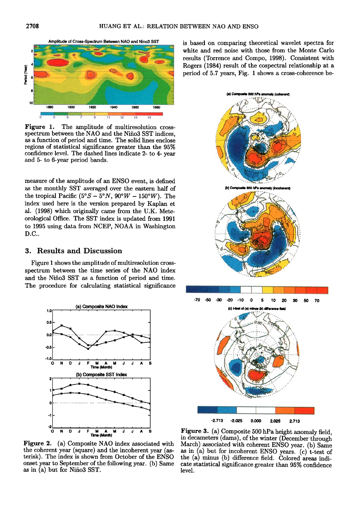



Figure 1. The amplitude of multiresolution crossspectrum between the NAO and the Niño3 SST indices. as a function of period and time. The solid lines enclose regions of statistical significance greater than the 95% confidence level. The dashed lines indicate 2- to 4- year and 5- to 6-year period bands.

measure of the amplitude of an ENSO event, is defined as the monthly SST averaged over the eastern half of the tropical Pacific  $(5^{\circ}S - 5^{\circ}N, 90^{\circ}W - 150^{\circ}W)$ . The index used here is the version prepared by Kaplan et al. (1998) which originally came from the U.K. Meteorological Office. The SST index is updated from 1991 to 1995 using data from NCEP, NOAA in Washington D.C..

#### 3. Results and Discussion

Figure 1 shows the amplitude of multiresolution crossspectrum between the time series of the NAO index and the Niño3 SST as a function of period and time. The procedure for calculating statistical significance



is based on comparing theoretical wavelet spectra for white and red noise with those from the Monte Carlo results (Torrence and Compo, 1998). Consistent with Rogers (1984) result of the cospectral relationship at a period of 5.7 years, Fig. 1 shows a cross-coherence be-



Figure 2. (a) Composite NAO index associated with the coherent year (square) and the incoherent year (asterisk). The index is shown from October of the ENSO onset year to September of the following year. (b) Same as in (a) but for Niño3 SST.

Figure 3. (a) Composite 500 hPa height anomaly field, in decameters (dams), of the winter (December through March) associated with coherent ENSO year. (b) Same as in (a) but for incoherent ENSO years. (c) t-test of the (a) minus (b) difference field. Colored areas indicate statistical significance greater than 95% confidence level.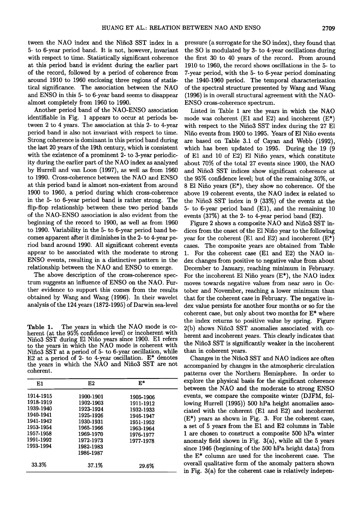**tween the NAO index and the Nifio3 SST index in a 5- to 6-year period band. It is not, however, invariant with respect to time. Statistically significant coherence at this period band is evident during the earlier part of the record, followed by a period of coherence from around 1910 to 1960 enclosing three regions of statistical significance. The association between the NAO and ENSO in this 5- to 6-year band seems to disappear almost completely from 1960 to 1990.** 

**Another period band of the NAO-ENSO association identifiable in Fig. I appears to occur at periods between 2 to 4 years. The association at this 2- to 4-year period band is also not invariant with respect to time. Strong coherence is dominant in this period band during the last 20 years of the 19th century, which is consistent with the existence of a prominent 2- to 3-year periodicity during the earlier part of the NAO index as analyzed by Hurrell and van Loon (1997), as well as from 1960 to 1990. Cross-coherence between the NAO and ENSO at this period band is almost non-existent from around 1900 to 1960, a period during which cross-coherence in the 5- to 6-year period band is rather strong. The flip-flop relationship between these two period bands of the NAO-ENSO association is also evident from the beginning of the record to 1900, as well as from 1960 to 1990. Variability in the 5- to 6-year period band becomes apparent after it diminishes in the 2- to 4-year period band around 1990. All significant coherent events appear to be associated with the moderate to strong ENSO events, resulting in a distinctive pattern in the relationship between the NAO and ENSO to emerge.** 

**The above description of the cross-coherence spectrum suggests an influence of ENSO on the NAO. Further evidence to support this comes from the results obtained by Wang and Wang (1996). In their wavelet analysis of the 124 years (1872-1995) of Darwin sea-level** 

**Table 1. The years in which the NAO mode is co**herent (at the 95% confidence level) or incoherent with **Nifio3 SST during E1 Nifio years since 1900. E1 refers to the years in which the NAO mode is coherent with Nifio3 SST at a period of 5- to 6-year oscillation, while E2 at a period of 2- to 4-year oscillation. E\* denotes**  the years in which the NAO and Niño3 SST are not **coherent.** 

| E1        | E2        | $\mathbf{E}^{\ast}$ |
|-----------|-----------|---------------------|
| 1914-1915 | 1900-1901 | 1905-1906           |
| 1918-1919 | 1902-1903 | 1911-1912           |
| 1939-1940 | 1923-1924 | 1932-1933           |
| 1940-1941 | 1925-1926 | 1946-1947           |
| 1941-1942 | 1930-1931 | 1951-1952           |
| 1953-1954 | 1965-1966 | 1963-1964           |
| 1957-1958 | 1969-1970 | 1976-1977           |
| 1991-1992 | 1972-1973 | 1977-1978           |
| 1993-1994 | 1982-1983 |                     |
|           | 1986-1987 |                     |
| 33.3%     | 37.1%     | 29.6%               |

**pressure (a surrogate for the SO index), they found that the SO is modulated by 3- to 4-year oscillations during the first 30 to 40 years of the record. From around 1910 to 1960, the record shows oscillations in the 5- to 7-year period, with the 5- to 6-year period dominating the 1940-1960 period. The temporal characterization of the spectral structure presented by Wang and Wang (1996) is in overall structural agreement with the NAO-ENSO cross-coherence spectrum.** 

**Listed in Table I are the years in which the NAO mode was coherent (El and E2) and incoherent (E\*) with respect to the Nifio3 SST index during the 27 E1 Nifio events from 1900 to 1995. Years of E1 Nifio events are based on Table 3.1 of Cayan and Webb (1992), which has been updated to 1995. During the 19 (9 of E1 and 10 of E2) E1 Nifio years, which constitute about 70% of the total 27 events since 1900, the NAO and Nifio3 SST indices show significant coherence at the 95% confidence level; but of the remaining 30%, or 8 E1 Nifio years (E\*), they show no coherence. Of the above 19 coherent events, the NAO index is related to the Nifio3 SST index in 9 (33%) of the events at the 5- to 6-year period band (El), and the remaining 10 events (37%) at the 2- to 4-year period band (E2).** 

**Figure 2 shows a composite NAO and Nifio3 SST indices from the onset of the E1 Nifio year to the following year for the coherent (El and E2) and incoherent (E\*) cases. The composite years are obtained from Table 1. For the coherent case (El and E2) the NAO index changes from positive to negative value from about December to January, reaching minimum in February. For the incoherent E1 Nifio years (E\*), the NAO index moves towards negative values from near zero in October and November, reaching a lower minimum than that for the coherent case in February. The negative index value persists for another four months or so for the coherent case, but only about two months for E\* where the index returns to positive value by spring. Figure 2(b) shows Nifio3 SST anomalies associated with coherent and incoherent years. This clearly indicates that the Nifio3 SST is significantly weaker in the incoherent than in coherent years.** 

**Changes in the Nifio3 SST and NAO indices are often accompanied by changes in the atmospheric circulation patterns over the Northern Hemisphere. In order to explore the physical basis for the significant coherence between the NAO and the moderate to strong ENSO events, we compare the composite winter (DJFM, following Hurrell (1995)) 500 hPa height anomalies associated with the coherent (El and E2) and incoherent (E\*) years as shown in Fig. 3. For the coherent case, a set of 5 years from the E1 and E2 columns in Table I are chosen to construct a composite 500 hPa winter anomaly field shown in Fig. 3(a), while all the 5 years since 1946 (beginning of the 500 hPa height data) from the E\* column are used for the incoherent case. The overall qualitative form of the anomaly pattern shown in Fig. 3(a) for the coherent case is relatively indepen-**